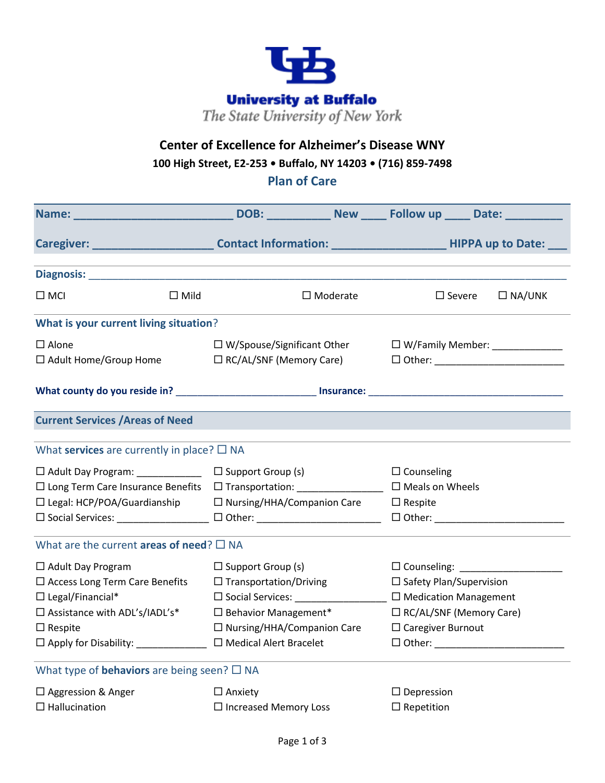

## **Center of Excellence for Alzheimer's Disease WNY**

**100 High Street, E2-253 • Buffalo, NY 14203 • (716) 859-7498**

**Plan of Care**

|                                                                                                                                                                                                                                                                                   |                                                                                                                                                              | Caregiver: __________________________Contact Information: _________________________HIPPA up to Date: ___                                                      |  |  |  |  |
|-----------------------------------------------------------------------------------------------------------------------------------------------------------------------------------------------------------------------------------------------------------------------------------|--------------------------------------------------------------------------------------------------------------------------------------------------------------|---------------------------------------------------------------------------------------------------------------------------------------------------------------|--|--|--|--|
| Diagnosis: North Communication of the Communication of the Communication of the Communication of the Communication of the Communication of the Communication of the Communication of the Communication of the Communication of                                                    |                                                                                                                                                              |                                                                                                                                                               |  |  |  |  |
| $\square$ MCI<br>$\Box$ Mild                                                                                                                                                                                                                                                      | $\Box$ Moderate                                                                                                                                              | $\square$ Severe<br>$\Box$ NA/UNK                                                                                                                             |  |  |  |  |
| What is your current living situation?                                                                                                                                                                                                                                            |                                                                                                                                                              |                                                                                                                                                               |  |  |  |  |
| $\square$ Alone<br>$\Box$ Adult Home/Group Home                                                                                                                                                                                                                                   | $\Box$ W/Spouse/Significant Other<br>$\Box$ RC/AL/SNF (Memory Care)                                                                                          | $\Box$ W/Family Member: ______________                                                                                                                        |  |  |  |  |
|                                                                                                                                                                                                                                                                                   |                                                                                                                                                              |                                                                                                                                                               |  |  |  |  |
| <b>Current Services / Areas of Need</b>                                                                                                                                                                                                                                           |                                                                                                                                                              |                                                                                                                                                               |  |  |  |  |
| What services are currently in place? $\square$ NA                                                                                                                                                                                                                                |                                                                                                                                                              |                                                                                                                                                               |  |  |  |  |
| □ Adult Day Program: _____________ □ Support Group (s)<br>□ Long Term Care Insurance Benefits □ Transportation:<br>$\square$ Legal: HCP/POA/Guardianship $\square$ Nursing/HHA/Companion Care<br>□ Social Services: ________________ □ Other: ___________________________________ |                                                                                                                                                              | $\Box$ Counseling<br>$\Box$ Meals on Wheels<br>$\Box$ Respite                                                                                                 |  |  |  |  |
| What are the current areas of need? $\square$ NA                                                                                                                                                                                                                                  |                                                                                                                                                              |                                                                                                                                                               |  |  |  |  |
| $\Box$ Adult Day Program<br>$\square$ Access Long Term Care Benefits<br>$\Box$ Legal/Financial*<br>$\Box$ Assistance with ADL's/IADL's*<br>$\Box$ Respite<br>$\Box$ Apply for Disability:                                                                                         | $\Box$ Support Group (s)<br>$\Box$ Transportation/Driving<br>$\square$ Behavior Management*<br>$\Box$ Nursing/HHA/Companion Care<br>□ Medical Alert Bracelet | $\Box$ Safety Plan/Supervision<br>□ Social Services: □ □ Medication Management<br>$\Box$ RC/AL/SNF (Memory Care)<br>$\Box$ Caregiver Burnout<br>$\Box$ Other: |  |  |  |  |
| What type of <b>behaviors</b> are being seen? $\square$ NA                                                                                                                                                                                                                        |                                                                                                                                                              |                                                                                                                                                               |  |  |  |  |
| $\Box$ Aggression & Anger<br>$\Box$ Hallucination                                                                                                                                                                                                                                 | $\Box$ Anxiety<br>$\Box$ Increased Memory Loss                                                                                                               | $\Box$ Depression<br>$\Box$ Repetition                                                                                                                        |  |  |  |  |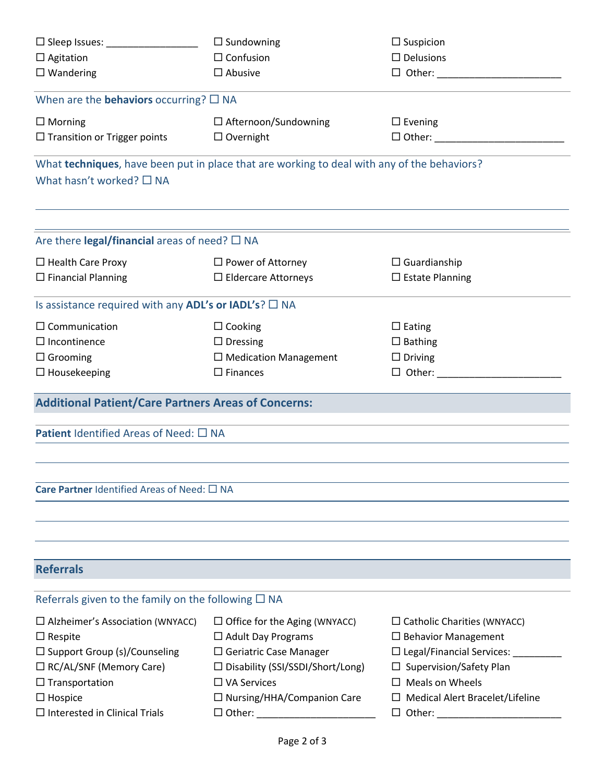| $\Box$ Sundowning<br>$\square$ Sleep Issues:                             |                                                                                             | $\Box$ Suspicion                                                        |  |  |  |  |  |
|--------------------------------------------------------------------------|---------------------------------------------------------------------------------------------|-------------------------------------------------------------------------|--|--|--|--|--|
| $\Box$ Agitation                                                         | $\Box$ Confusion                                                                            | $\Box$ Delusions                                                        |  |  |  |  |  |
| $\square$ Wandering                                                      | $\square$ Abusive<br>$\Box$ Other:                                                          |                                                                         |  |  |  |  |  |
| When are the <b>behaviors</b> occurring? $\square$ NA                    |                                                                                             |                                                                         |  |  |  |  |  |
| $\Box$ Morning                                                           | $\Box$ Afternoon/Sundowning                                                                 | $\Box$ Evening<br>$\Box$ Other:                                         |  |  |  |  |  |
| $\Box$ Transition or Trigger points                                      | $\Box$ Overnight                                                                            |                                                                         |  |  |  |  |  |
| What hasn't worked? $\square$ NA                                         | What techniques, have been put in place that are working to deal with any of the behaviors? |                                                                         |  |  |  |  |  |
| Are there legal/financial areas of need? $\square$ NA                    |                                                                                             |                                                                         |  |  |  |  |  |
| $\Box$ Health Care Proxy                                                 | □ Power of Attorney<br>$\Box$ Guardianship                                                  |                                                                         |  |  |  |  |  |
| $\Box$ Financial Planning                                                | $\Box$ Eldercare Attorneys                                                                  | $\square$ Estate Planning                                               |  |  |  |  |  |
| Is assistance required with any ADL's or IADL's? $\square$ NA            |                                                                                             |                                                                         |  |  |  |  |  |
| $\Box$ Communication                                                     | $\Box$ Cooking                                                                              | $\Box$ Eating                                                           |  |  |  |  |  |
| $\Box$ Incontinence                                                      | $\Box$ Dressing<br>$\square$ Bathing                                                        |                                                                         |  |  |  |  |  |
| $\Box$ Grooming                                                          | $\Box$ Medication Management                                                                | $\Box$ Driving                                                          |  |  |  |  |  |
| $\Box$ Housekeeping                                                      | $\square$ Finances                                                                          |                                                                         |  |  |  |  |  |
| <b>Additional Patient/Care Partners Areas of Concerns:</b>               |                                                                                             |                                                                         |  |  |  |  |  |
| <b>Patient</b> Identified Areas of Need: $\Box$ NA                       |                                                                                             |                                                                         |  |  |  |  |  |
| Care Partner Identified Areas of Need: $\square$ NA                      |                                                                                             |                                                                         |  |  |  |  |  |
| <b>Referrals</b>                                                         |                                                                                             |                                                                         |  |  |  |  |  |
|                                                                          |                                                                                             |                                                                         |  |  |  |  |  |
| Referrals given to the family on the following $\square$ NA              |                                                                                             |                                                                         |  |  |  |  |  |
| $\Box$ Alzheimer's Association (WNYACC)                                  | $\Box$ Office for the Aging (WNYACC)<br>$\Box$ Catholic Charities (WNYACC)                  |                                                                         |  |  |  |  |  |
| $\Box$ Respite                                                           | $\Box$ Adult Day Programs                                                                   | $\Box$ Behavior Management                                              |  |  |  |  |  |
| $\square$ Support Group (s)/Counseling<br>$\Box$ RC/AL/SNF (Memory Care) | $\Box$ Geriatric Case Manager<br>□ Disability (SSI/SSDI/Short/Long)                         | □ Legal/Financial Services: _________<br>$\Box$ Supervision/Safety Plan |  |  |  |  |  |
| $\Box$ Transportation                                                    | $\Box$ VA Services                                                                          | $\Box$ Meals on Wheels                                                  |  |  |  |  |  |
| $\Box$ Hospice                                                           | $\Box$ Nursing/HHA/Companion Care                                                           | $\Box$ Medical Alert Bracelet/Lifeline                                  |  |  |  |  |  |
| $\Box$ Interested in Clinical Trials                                     |                                                                                             |                                                                         |  |  |  |  |  |
|                                                                          |                                                                                             |                                                                         |  |  |  |  |  |